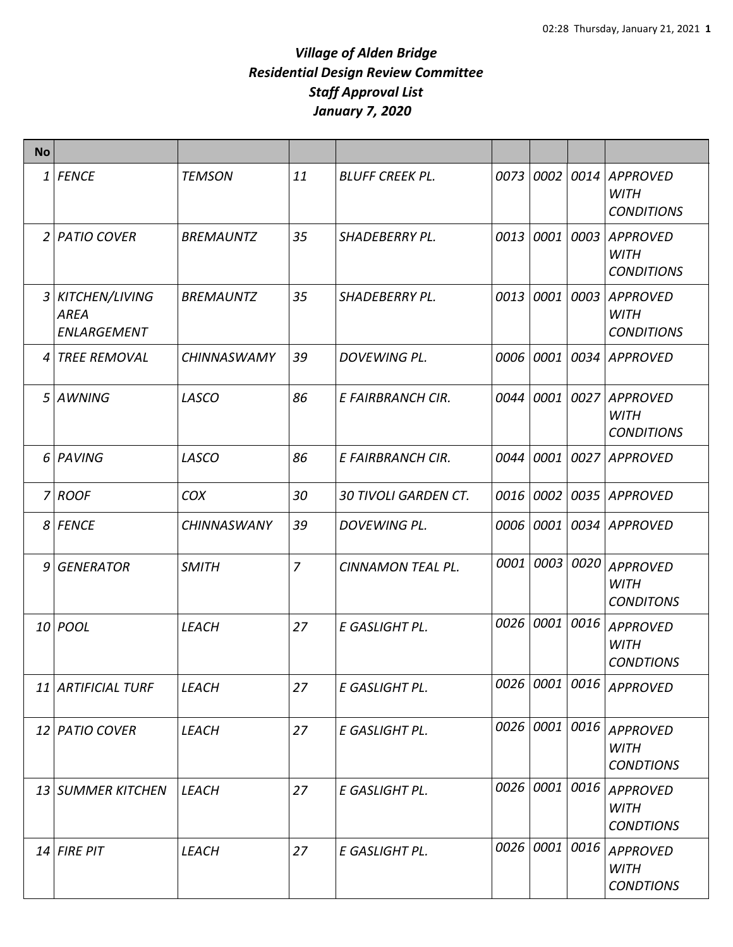| <b>No</b>      |                                              |                    |                |                             |           |                |      |                                                     |
|----------------|----------------------------------------------|--------------------|----------------|-----------------------------|-----------|----------------|------|-----------------------------------------------------|
| 1              | <b>FENCE</b>                                 | <b>TEMSON</b>      | 11             | <b>BLUFF CREEK PL.</b>      |           | 0073 0002      |      | 0014 APPROVED<br><b>WITH</b><br><b>CONDITIONS</b>   |
| 2              | <b>PATIO COVER</b>                           | <b>BREMAUNTZ</b>   | 35             | <b>SHADEBERRY PL.</b>       | 0013 0001 |                | 0003 | <b>APPROVED</b><br><b>WITH</b><br><b>CONDITIONS</b> |
| 3              | KITCHEN/LIVING<br><b>AREA</b><br>ENLARGEMENT | <b>BREMAUNTZ</b>   | 35             | <b>SHADEBERRY PL.</b>       | 0013 0001 |                |      | 0003 APPROVED<br><b>WITH</b><br><b>CONDITIONS</b>   |
| 4              | <b>TREE REMOVAL</b>                          | <b>CHINNASWAMY</b> | 39             | DOVEWING PL.                | 0006 0001 |                |      | 0034 APPROVED                                       |
| 5 <sup>1</sup> | AWNING                                       | LASCO              | 86             | E FAIRBRANCH CIR.           | 0044      | 0001           |      | 0027 APPROVED<br><b>WITH</b><br><b>CONDITIONS</b>   |
| 6              | PAVING                                       | LASCO              | 86             | E FAIRBRANCH CIR.           | 0044      | 0001           |      | 0027 APPROVED                                       |
| 7              | <b>ROOF</b>                                  | COX                | 30             | <b>30 TIVOLI GARDEN CT.</b> | 0016 0002 |                |      | 0035 APPROVED                                       |
| 8              | <b>FENCE</b>                                 | <b>CHINNASWANY</b> | 39             | DOVEWING PL.                | 0006 0001 |                |      | 0034 APPROVED                                       |
| 9              | <b>GENERATOR</b>                             | <b>SMITH</b>       | $\overline{7}$ | CINNAMON TEAL PL.           | 0001      | 0003           | 0020 | <b>APPROVED</b><br><b>WITH</b><br><b>CONDITONS</b>  |
|                | 10 <i>POOL</i>                               | <b>LEACH</b>       | 27             | E GASLIGHT PL.              |           | 0026 0001      | 0016 | <b>APPROVED</b><br><b>WITH</b><br><b>CONDTIONS</b>  |
|                | 11 ARTIFICIAL TURF                           | LEACH              | 27             | E GASLIGHT PL.              |           |                |      | 0026 0001 0016 APPROVED                             |
|                | 12 PATIO COVER                               | LEACH              | 27             | E GASLIGHT PL.              |           | 0026 0001 0016 |      | <b>APPROVED</b><br><b>WITH</b><br><b>CONDTIONS</b>  |
|                | 13 SUMMER KITCHEN                            | LEACH              | 27             | E GASLIGHT PL.              | 0026 0001 |                | 0016 | <b>APPROVED</b><br><b>WITH</b><br><b>CONDTIONS</b>  |
|                | 14 FIRE PIT                                  | LEACH              | 27             | E GASLIGHT PL.              | 0026 0001 |                | 0016 | <b>APPROVED</b><br><b>WITH</b><br><b>CONDTIONS</b>  |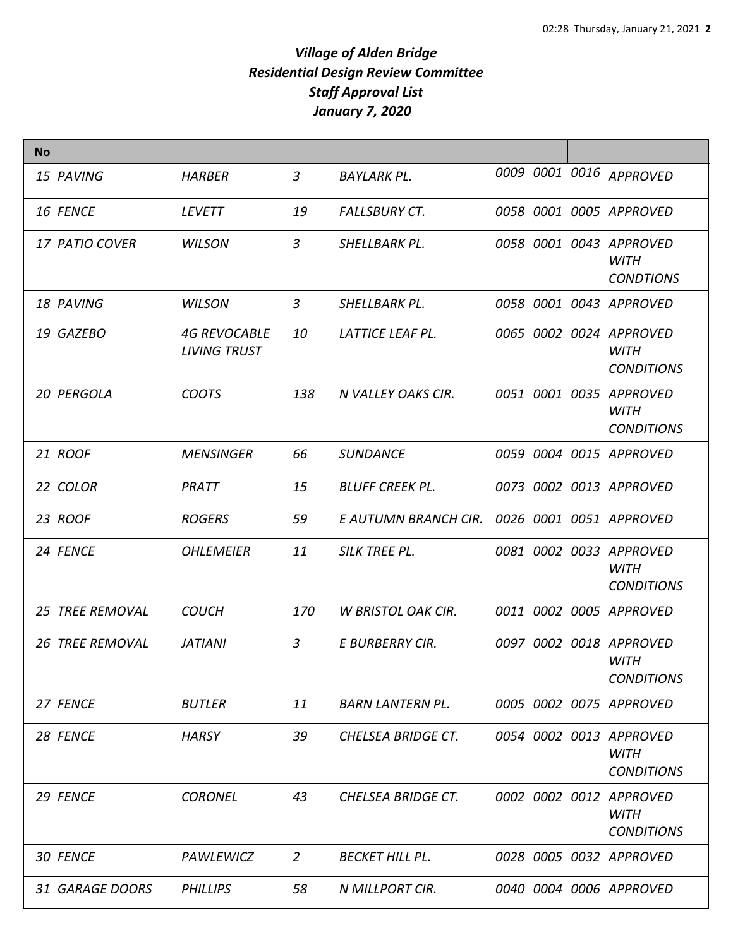| <b>No</b> |                     |                                            |                |                           |           |           |      |                                                     |
|-----------|---------------------|--------------------------------------------|----------------|---------------------------|-----------|-----------|------|-----------------------------------------------------|
|           | 15 PAVING           | <b>HARBER</b>                              | 3              | <b>BAYLARK PL.</b>        | 0009      | 0001      | 0016 | <b>APPROVED</b>                                     |
|           | 16 FENCE            | <b>LEVETT</b>                              | 19             | <b>FALLSBURY CT.</b>      | 0058      | 0001      | 0005 | <b>APPROVED</b>                                     |
|           | 17 PATIO COVER      | <b>WILSON</b>                              | $\overline{3}$ | <b>SHELLBARK PL.</b>      | 0058      | 0001      | 0043 | <b>APPROVED</b><br><b>WITH</b><br><b>CONDTIONS</b>  |
|           | 18 PAVING           | <b>WILSON</b>                              | 3              | SHELLBARK PL.             |           | 0058 0001 | 0043 | <b>APPROVED</b>                                     |
|           | 19 GAZEBO           | <b>4G REVOCABLE</b><br><b>LIVING TRUST</b> | <i>10</i>      | LATTICE LEAF PL.          |           | 0065 0002 |      | 0024 APPROVED<br><b>WITH</b><br><b>CONDITIONS</b>   |
|           | 20 PERGOLA          | <b>COOTS</b>                               | 138            | N VALLEY OAKS CIR.        | 0051      | 0001      | 0035 | <b>APPROVED</b><br><b>WITH</b><br><b>CONDITIONS</b> |
|           | $21$ ROOF           | <b>MENSINGER</b>                           | 66             | <b>SUNDANCE</b>           | 0059      | 0004      | 0015 | <b>APPROVED</b>                                     |
| 22        | <b>COLOR</b>        | PRATT                                      | 15             | <b>BLUFF CREEK PL.</b>    | 0073 0002 |           | 0013 | <b>APPROVED</b>                                     |
|           | $23$ ROOF           | <b>ROGERS</b>                              | 59             | E AUTUMN BRANCH CIR.      |           | 0026 0001 |      | 0051 APPROVED                                       |
|           | 24 FENCE            | <b>OHLEMEIER</b>                           | 11             | SILK TREE PL.             |           | 0081 0002 | 0033 | <b>APPROVED</b><br><b>WITH</b><br><b>CONDITIONS</b> |
| 25        | <b>TREE REMOVAL</b> | <b>COUCH</b>                               | 170            | <b>W BRISTOL OAK CIR.</b> |           | 0011 0002 | 0005 | <b>APPROVED</b>                                     |
| 26        | <b>TREE REMOVAL</b> | <b>JATIANI</b>                             | 3              | E BURBERRY CIR.           |           | 0097 0002 | 0018 | <b>APPROVED</b><br><b>WITH</b><br><b>CONDITIONS</b> |
|           | 27 FENCE            | <b>BUTLER</b>                              | 11             | <b>BARN LANTERN PL.</b>   |           | 0005 0002 | 0075 | APPROVED                                            |
|           | 28 FENCE            | <b>HARSY</b>                               | 39             | CHELSEA BRIDGE CT.        |           | 0054 0002 | 0013 | <b>APPROVED</b><br><b>WITH</b><br><b>CONDITIONS</b> |
|           | $29$ FENCE          | <b>CORONEL</b>                             | 43             | CHELSEA BRIDGE CT.        | 0002      | 0002      | 0012 | <b>APPROVED</b><br><b>WITH</b><br><b>CONDITIONS</b> |
|           | 30 FENCE            | PAWLEWICZ                                  | $\overline{2}$ | <b>BECKET HILL PL.</b>    |           | 0028 0005 | 0032 | APPROVED                                            |
| 31        | <b>GARAGE DOORS</b> | <b>PHILLIPS</b>                            | 58             | N MILLPORT CIR.           | 0040      | 0004      | 0006 | APPROVED                                            |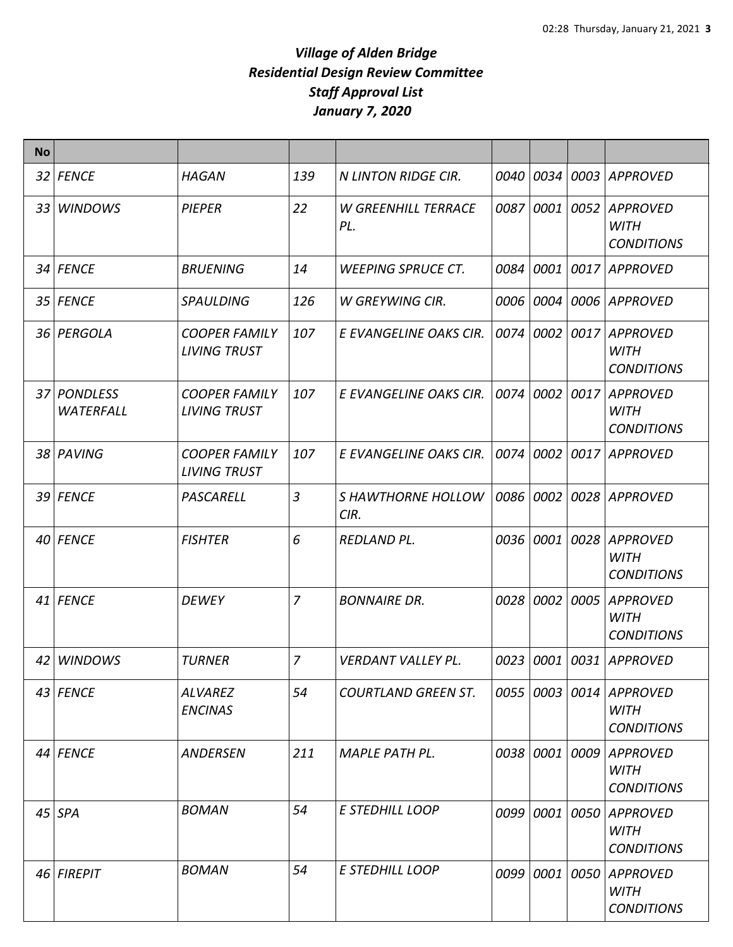| <b>No</b> |                          |                                             |                |                                   |           |           |      |                                                     |
|-----------|--------------------------|---------------------------------------------|----------------|-----------------------------------|-----------|-----------|------|-----------------------------------------------------|
|           | 32 FENCE                 | <b>HAGAN</b>                                | 139            | <b>N LINTON RIDGE CIR.</b>        | 0040 0034 |           |      | 0003 APPROVED                                       |
|           | 33 WINDOWS               | <b>PIEPER</b>                               | 22             | <b>W GREENHILL TERRACE</b><br>PL. | 0087 0001 |           | 0052 | <b>APPROVED</b><br><b>WITH</b><br><b>CONDITIONS</b> |
|           | 34 FENCE                 | <b>BRUENING</b>                             | 14             | <b>WEEPING SPRUCE CT.</b>         | 0084      | 0001      | 0017 | <b>APPROVED</b>                                     |
|           | 35 FENCE                 | <b>SPAULDING</b>                            | 126            | W GREYWING CIR.                   | 0006 0004 |           |      | 0006 APPROVED                                       |
|           | 36 PERGOLA               | <b>COOPER FAMILY</b><br><b>LIVING TRUST</b> | 107            | E EVANGELINE OAKS CIR.            | 0074 0002 |           | 0017 | <b>APPROVED</b><br><b>WITH</b><br><b>CONDITIONS</b> |
|           | 37 PONDLESS<br>WATERFALL | <b>COOPER FAMILY</b><br><b>LIVING TRUST</b> | 107            | E EVANGELINE OAKS CIR.            | 0074 0002 |           | 0017 | APPROVED<br><b>WITH</b><br><b>CONDITIONS</b>        |
|           | 38 PAVING                | <b>COOPER FAMILY</b><br><b>LIVING TRUST</b> | 107            | E EVANGELINE OAKS CIR.            | 0074 0002 |           |      | 0017 APPROVED                                       |
|           | 39 FENCE                 | PASCARELL                                   | 3              | S HAWTHORNE HOLLOW<br>CIR.        | 0086 0002 |           |      | 0028 APPROVED                                       |
|           | 40 FENCE                 | <b>FISHTER</b>                              | 6              | <b>REDLAND PL.</b>                | 0036 0001 |           | 0028 | APPROVED<br><b>WITH</b><br><b>CONDITIONS</b>        |
|           | 41 FENCE                 | <b>DEWEY</b>                                | 7              | <b>BONNAIRE DR.</b>               | 0028 0002 |           | 0005 | APPROVED<br><b>WITH</b><br><b>CONDITIONS</b>        |
|           | 42 WINDOWS               | <b>TURNER</b>                               | $\overline{z}$ | VERDANT VALLEY PL.                | 0023 0001 |           |      | 0031 APPROVED                                       |
|           | 43 FENCE                 | <b>ALVAREZ</b><br><b>ENCINAS</b>            | 54             | <b>COURTLAND GREEN ST.</b>        |           | 0055 0003 | 0014 | APPROVED<br><b>WITH</b><br><b>CONDITIONS</b>        |
|           | 44 FENCE                 | <b>ANDERSEN</b>                             | 211            | <b>MAPLE PATH PL.</b>             |           | 0038 0001 | 0009 | <b>APPROVED</b><br><b>WITH</b><br><b>CONDITIONS</b> |
|           | 45 SPA                   | <b>BOMAN</b>                                | 54             | <b>E STEDHILL LOOP</b>            |           | 0099 0001 | 0050 | <b>APPROVED</b><br><b>WITH</b><br><b>CONDITIONS</b> |
|           | 46 FIREPIT               | <b>BOMAN</b>                                | 54             | E STEDHILL LOOP                   |           | 0099 0001 | 0050 | <b>APPROVED</b><br><b>WITH</b><br><b>CONDITIONS</b> |